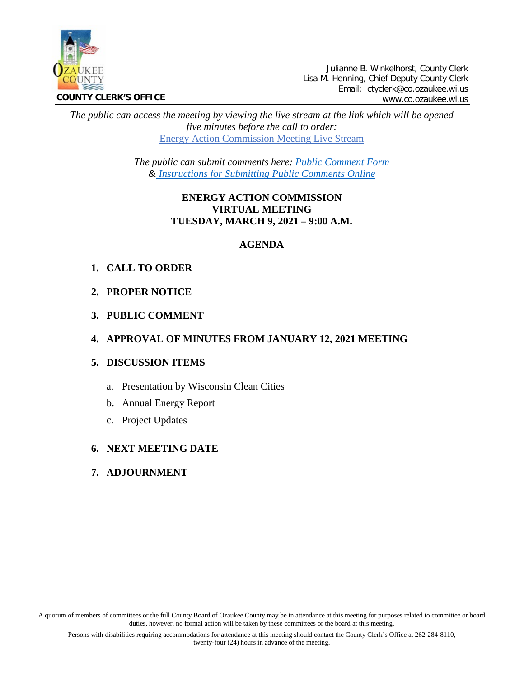

Julianne B. Winkelhorst, County Clerk Lisa M. Henning, Chief Deputy County Clerk Email: ctyclerk@co.ozaukee.wi.us www.co.ozaukee.wi.us

*The public can access the meeting by viewing the live stream at the link which will be opened five minutes before the call to order:* [Energy Action Commission Meeting Live Stream](https://www.youtube.com/channel/UCQ16yLTEJmJo_h02WDDqcqg)

> *The public can submit comments here: [Public Comment Form](https://www.co.ozaukee.wi.us/FormCenter/Email-Forms-28/Email-Public-Comment-300) & [Instructions for Submitting Public Comments Online](https://www.co.ozaukee.wi.us/2645/Public-Comments-at-Zoom-Meetings)*

# **ENERGY ACTION COMMISSION VIRTUAL MEETING TUESDAY, MARCH 9, 2021 – 9:00 A.M.**

### **AGENDA**

# **1. CALL TO ORDER**

- **2. PROPER NOTICE**
- **3. PUBLIC COMMENT**

# **4. APPROVAL OF MINUTES FROM JANUARY 12, 2021 MEETING**

### **5. DISCUSSION ITEMS**

- a. Presentation by Wisconsin Clean Cities
- b. Annual Energy Report
- c. Project Updates

### **6. NEXT MEETING DATE**

### **7. ADJOURNMENT**

A quorum of members of committees or the full County Board of Ozaukee County may be in attendance at this meeting for purposes related to committee or board duties, however, no formal action will be taken by these committees or the board at this meeting.